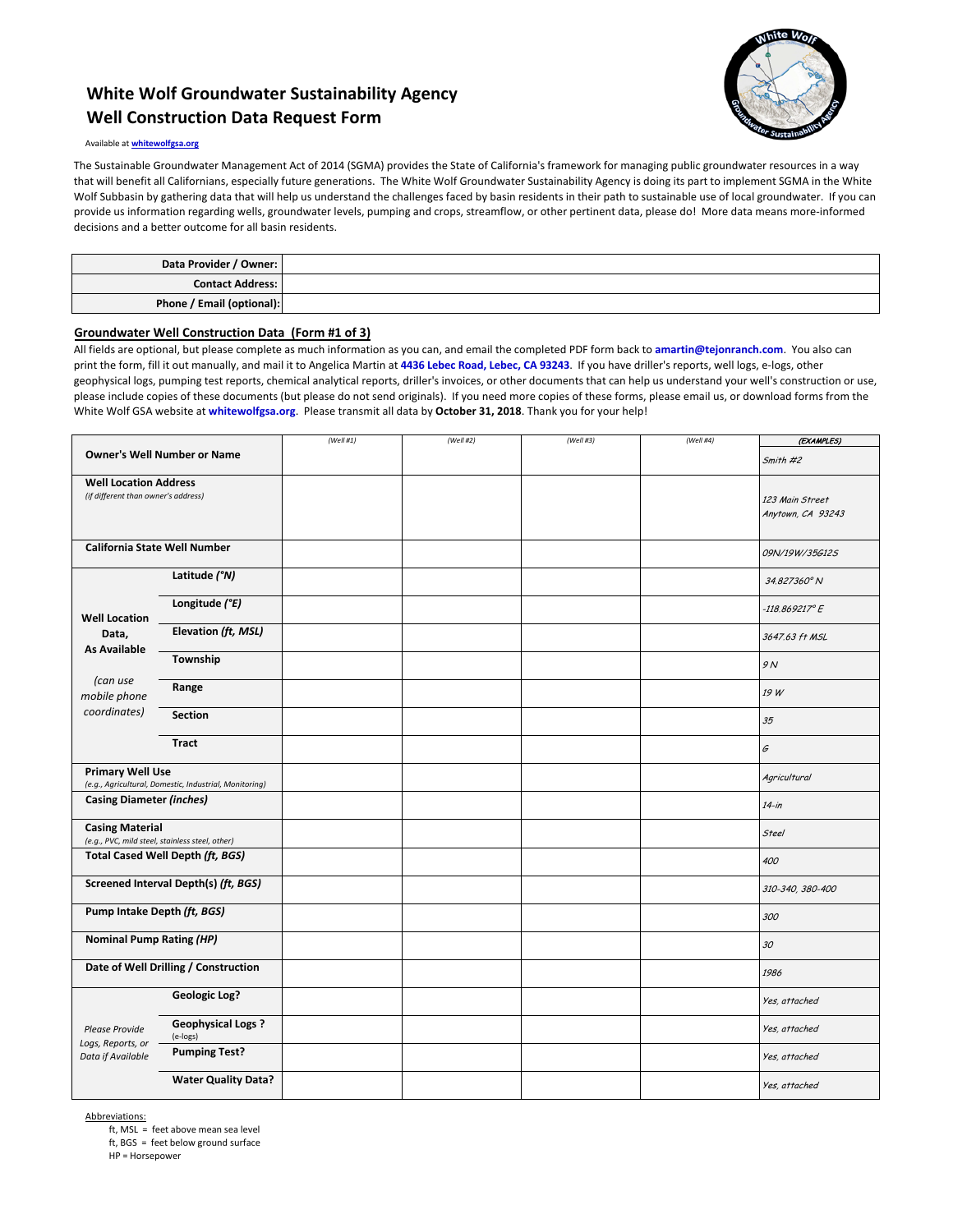## **White Wolf Groundwater Sustainability Agency Well Construction Data Request Form**



#### Available at **whitewolfgsa.org**

The Sustainable Groundwater Management Act of 2014 (SGMA) provides the State of California's framework for managing public groundwater resources in a way that will benefit all Californians, especially future generations. The White Wolf Groundwater Sustainability Agency is doing its part to implement SGMA in the White Wolf Subbasin by gathering data that will help us understand the challenges faced by basin residents in their path to sustainable use of local groundwater. If you can provide us information regarding wells, groundwater levels, pumping and crops, streamflow, or other pertinent data, please do! More data means more-informed decisions and a better outcome for all basin residents.

| Data Provider / Owner:    |  |
|---------------------------|--|
| <b>Contact Address:</b>   |  |
| Phone / Email (optional): |  |

#### **Groundwater Well Construction Data (Form #1 of 3)**

All fields are optional, but please complete as much information as you can, and email the completed PDF form back to **amartin@tejonranch.com**. You also can print the form, fill it out manually, and mail it to Angelica Martin at **4436 Lebec Road, Lebec, CA 93243**. If you have driller's reports, well logs, e-logs, other geophysical logs, pumping test reports, chemical analytical reports, driller's invoices, or other documents that can help us understand your well's construction or use, please include copies of these documents (but please do not send originals). If you need more copies of these forms, please email us, or download forms from the White Wolf GSA website at **whitewolfgsa.org**. Please transmit all data by **October 31, 2018**. Thank you for your help!

|                                                                                   |                                      | (Well #1) | (Well #2) | (Well #3) | (Well #4) | (EXAMPLES)              |
|-----------------------------------------------------------------------------------|--------------------------------------|-----------|-----------|-----------|-----------|-------------------------|
| <b>Owner's Well Number or Name</b>                                                |                                      |           |           |           |           | Smith #2                |
| <b>Well Location Address</b><br>(if different than owner's address)               |                                      |           |           |           |           |                         |
|                                                                                   |                                      |           |           |           |           | 123 Main Street         |
|                                                                                   |                                      |           |           |           |           | Anytown, CA 93243       |
| <b>California State Well Number</b>                                               |                                      |           |           |           |           | 09N/19W/35G12S          |
|                                                                                   | Latitude (°N)                        |           |           |           |           | 34.827360° N            |
| <b>Well Location</b>                                                              | Longitude (°E)                       |           |           |           |           | $-118.869217^{\circ}$ E |
| Data,<br><b>As Available</b>                                                      | Elevation (ft, MSL)                  |           |           |           |           | 3647.63 ft MSL          |
| (can use                                                                          | Township                             |           |           |           |           | 9 N                     |
| mobile phone                                                                      | Range                                |           |           |           |           | 19 W                    |
| coordinates)                                                                      | <b>Section</b>                       |           |           |           |           | 35                      |
|                                                                                   | <b>Tract</b>                         |           |           |           |           | G                       |
| <b>Primary Well Use</b><br>(e.g., Agricultural, Domestic, Industrial, Monitoring) |                                      |           |           |           |           | Agricultural            |
| <b>Casing Diameter (inches)</b>                                                   |                                      |           |           |           |           | $14$ -in                |
| <b>Casing Material</b><br>(e.g., PVC, mild steel, stainless steel, other)         |                                      |           |           |           |           | <b>Steel</b>            |
| Total Cased Well Depth (ft, BGS)                                                  |                                      |           |           |           |           | 400                     |
| Screened Interval Depth(s) (ft, BGS)                                              |                                      |           |           |           |           | 310-340, 380-400        |
| Pump Intake Depth (ft, BGS)                                                       |                                      |           |           |           |           | 300                     |
| <b>Nominal Pump Rating (HP)</b>                                                   |                                      |           |           |           |           | 30                      |
| Date of Well Drilling / Construction                                              |                                      |           |           |           |           | 1986                    |
| <b>Please Provide</b><br>Logs, Reports, or<br>Data if Available                   | <b>Geologic Log?</b>                 |           |           |           |           | Yes, attached           |
|                                                                                   | <b>Geophysical Logs?</b><br>(e-logs) |           |           |           |           | Yes, attached           |
|                                                                                   | <b>Pumping Test?</b>                 |           |           |           |           | Yes, attached           |
|                                                                                   | <b>Water Quality Data?</b>           |           |           |           |           | Yes, attached           |

Abbreviations:

ft, MSL = feet above mean sea level

ft, BGS = feet below ground surface

HP = Horsepower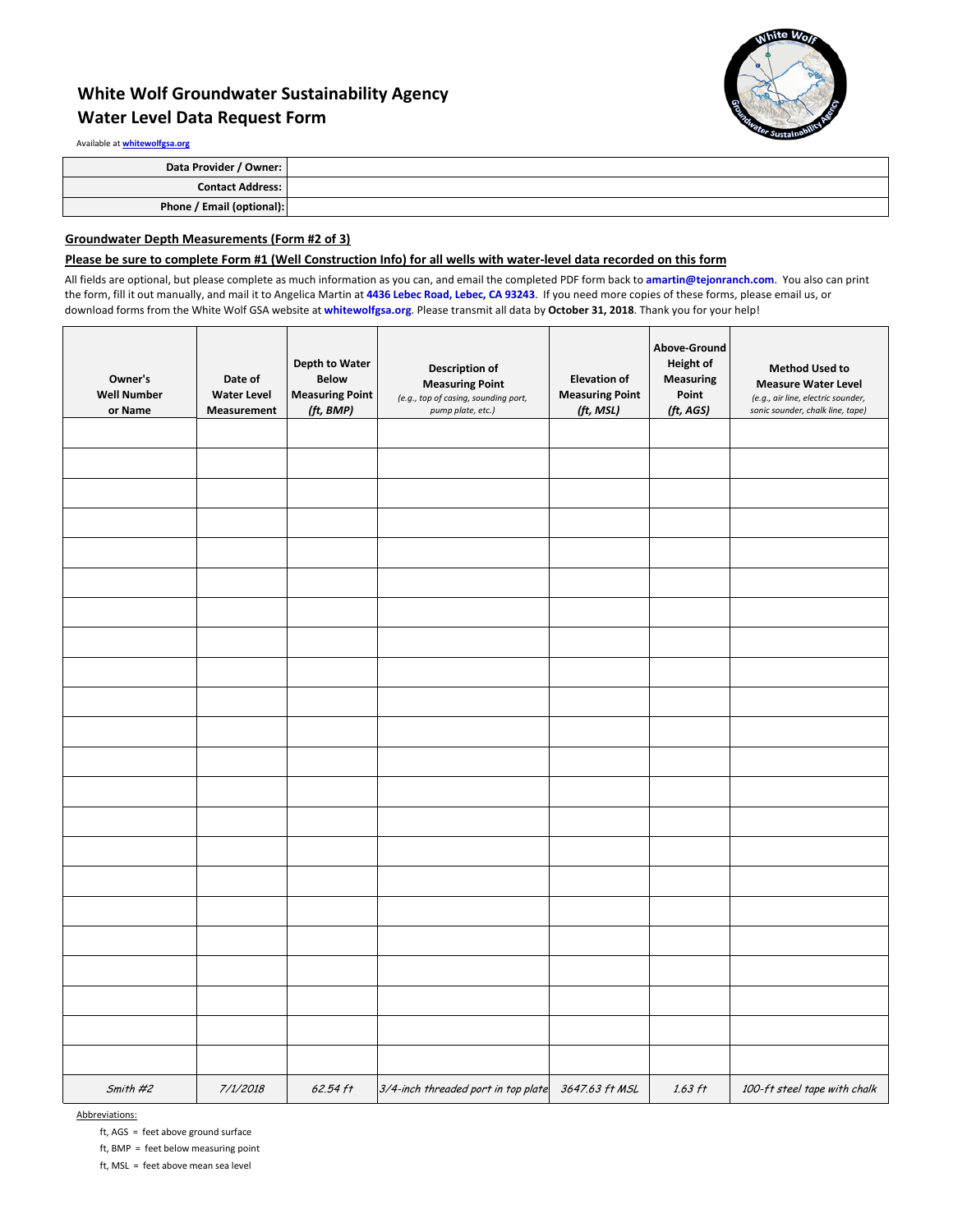# **White Wolf Groundwater Sustainability Agency Water Level Data Request Form**



Available at **whitewolfgsa.org**

| Data Provider / Owner:    |  |
|---------------------------|--|
| <b>Contact Address:</b>   |  |
| Phone / Email (optional): |  |

### **Groundwater Depth Measurements (Form #2 of 3)**

### **Please be sure to complete Form #1 (Well Construction Info) for all wells with water-level data recorded on this form**

All fields are optional, but please complete as much information as you can, and email the completed PDF form back to **amartin@tejonranch.com**. You also can print the form, fill it out manually, and mail it to Angelica Martin at **4436 Lebec Road, Lebec, CA 93243**. If you need more copies of these forms, please email us, or download forms from the White Wolf GSA website at **whitewolfgsa.org**. Please transmit all data by **October 31, 2018**. Thank you for your help!

| Owner's<br><b>Well Number</b><br>or Name | Date of<br><b>Water Level</b><br>Measurement | <b>Depth to Water</b><br><b>Below</b><br><b>Measuring Point</b><br>(ft, BMP) | Description of<br><b>Measuring Point</b><br>(e.g., top of casing, sounding port,<br>pump plate, etc.) | <b>Elevation of</b><br><b>Measuring Point</b><br>(ft, MSL) | Above-Ground<br><b>Height of</b><br><b>Measuring</b><br>Point<br>(ft, AGS) | <b>Method Used to</b><br><b>Measure Water Level</b><br>(e.g., air line, electric sounder,<br>sonic sounder, chalk line, tape) |
|------------------------------------------|----------------------------------------------|------------------------------------------------------------------------------|-------------------------------------------------------------------------------------------------------|------------------------------------------------------------|----------------------------------------------------------------------------|-------------------------------------------------------------------------------------------------------------------------------|
|                                          |                                              |                                                                              |                                                                                                       |                                                            |                                                                            |                                                                                                                               |
|                                          |                                              |                                                                              |                                                                                                       |                                                            |                                                                            |                                                                                                                               |
|                                          |                                              |                                                                              |                                                                                                       |                                                            |                                                                            |                                                                                                                               |
|                                          |                                              |                                                                              |                                                                                                       |                                                            |                                                                            |                                                                                                                               |
|                                          |                                              |                                                                              |                                                                                                       |                                                            |                                                                            |                                                                                                                               |
|                                          |                                              |                                                                              |                                                                                                       |                                                            |                                                                            |                                                                                                                               |
|                                          |                                              |                                                                              |                                                                                                       |                                                            |                                                                            |                                                                                                                               |
|                                          |                                              |                                                                              |                                                                                                       |                                                            |                                                                            |                                                                                                                               |
|                                          |                                              |                                                                              |                                                                                                       |                                                            |                                                                            |                                                                                                                               |
|                                          |                                              |                                                                              |                                                                                                       |                                                            |                                                                            |                                                                                                                               |
|                                          |                                              |                                                                              |                                                                                                       |                                                            |                                                                            |                                                                                                                               |
|                                          |                                              |                                                                              |                                                                                                       |                                                            |                                                                            |                                                                                                                               |
|                                          |                                              |                                                                              |                                                                                                       |                                                            |                                                                            |                                                                                                                               |
|                                          |                                              |                                                                              |                                                                                                       |                                                            |                                                                            |                                                                                                                               |
|                                          |                                              |                                                                              |                                                                                                       |                                                            |                                                                            |                                                                                                                               |
|                                          |                                              |                                                                              |                                                                                                       |                                                            |                                                                            |                                                                                                                               |
|                                          |                                              |                                                                              |                                                                                                       |                                                            |                                                                            |                                                                                                                               |
|                                          |                                              |                                                                              |                                                                                                       |                                                            |                                                                            |                                                                                                                               |
|                                          |                                              |                                                                              |                                                                                                       |                                                            |                                                                            |                                                                                                                               |
|                                          |                                              |                                                                              |                                                                                                       |                                                            |                                                                            |                                                                                                                               |
|                                          |                                              |                                                                              |                                                                                                       |                                                            |                                                                            |                                                                                                                               |
|                                          |                                              |                                                                              |                                                                                                       |                                                            |                                                                            |                                                                                                                               |
| Smith #2                                 | 7/1/2018                                     | 62.54 ft                                                                     | 3/4-inch threaded port in top plate                                                                   | 3647.63 ft MSL                                             | $1.63$ ft                                                                  | 100-ft steel tape with chalk                                                                                                  |

Abbreviations:

ft, AGS = feet above ground surface

ft, BMP = feet below measuring point

ft, MSL = feet above mean sea level